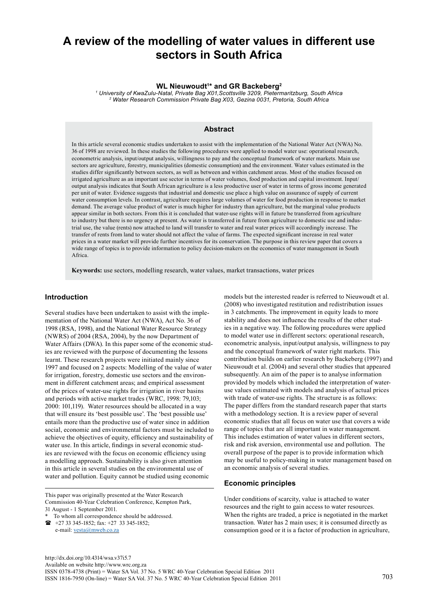# **A review of the modelling of water values in different use sectors in South Africa**

#### **WL Nieuwoudt1 \* and GR Backeberg2**

*1 University of KwaZulu-Natal, Private Bag X01,Scottsville 3209, Pietermaritzburg, South Africa 2 Water Research Commission Private Bag X03, Gezina 0031, Pretoria, South Africa*

## **Abstract**

In this article several economic studies undertaken to assist with the implementation of the National Water Act (NWA) No. 36 of 1998 are reviewed. In these studies the following procedures were applied to model water use: operational research, econometric analysis, input/output analysis, willingness to pay and the conceptual framework of water markets. Main use sectors are agriculture, forestry, municipalities (domestic consumption) and the environment. Water values estimated in the studies differ significantly between sectors, as well as between and within catchment areas. Most of the studies focused on irrigated agriculture as an important use sector in terms of water volumes, food production and capital investment. Input/ output analysis indicates that South African agriculture is a less productive user of water in terms of gross income generated per unit of water. Evidence suggests that industrial and domestic use place a high value on assurance of supply of current water consumption levels. In contrast, agriculture requires large volumes of water for food production in response to market demand. The average value product of water is much higher for industry than agriculture, but the marginal value products appear similar in both sectors. From this it is concluded that water-use rights will in future be transferred from agriculture to industry but there is no urgency at present. As water is transferred in future from agriculture to domestic use and industrial use, the value (rents) now attached to land will transfer to water and real water prices will accordingly increase. The transfer of rents from land to water should not affect the value of farms. The expected significant increase in real water prices in a water market will provide further incentives for its conservation. The purpose in this review paper that covers a wide range of topics is to provide information to policy decision-makers on the economics of water management in South Africa.

**Keywords:** use sectors, modelling research, water values, market transactions, water prices

## **Introduction**

Several studies have been undertaken to assist with the implementation of the National Water Act (NWA), Act No. 36 of 1998 (RSA, 1998), and the National Water Resource Strategy (NWRS) of 2004 (RSA, 2004), by the now Department of Water Affairs (DWA). In this paper some of the economic studies are reviewed with the purpose of documenting the lessons learnt. These research projects were initiated mainly since 1997 and focused on 2 aspects: Modelling of the value of water for irrigation, forestry, domestic use sectors and the environment in different catchment areas; and empirical assessment of the prices of water-use rights for irrigation in river basins and periods with active market trades (WRC, 1998: 79,103; 2000: 101,119). Water resources should be allocated in a way that will ensure its 'best possible use'. The 'best possible use' entails more than the productive use of water since in addition social, economic and environmental factors must be included to achieve the objectives of equity, efficiency and sustainability of water use. In this article, findings in several economic studies are reviewed with the focus on economic efficiency using a modelling approach. Sustainability is also given attention in this article in several studies on the environmental use of water and pollution. Equity cannot be studied using economic

This paper was originally presented at the Water Research Commission 40-Year Celebration Conference, Kempton Park, 31 August - 1 September 2011.

e-mail: vesta@mweb.co.za

models but the interested reader is referred to Nieuwoudt et al. (2008) who investigated restitution and redistribution issues in 3 catchments. The improvement in equity leads to more stability and does not influence the results of the other studies in a negative way. The following procedures were applied to model water use in different sectors: operational research, econometric analysis, input/output analysis, willingness to pay and the conceptual framework of water right markets. This contribution builds on earlier research by Backeberg (1997) and Nieuwoudt et al. (2004) and several other studies that appeared subsequently. An aim of the paper is to analyse information provided by models which included the interpretation of wateruse values estimated with models and analysis of actual prices with trade of water-use rights. The structure is as follows: The paper differs from the standard research paper that starts with a methodology section. It is a review paper of several economic studies that all focus on water use that covers a wide range of topics that are all important in water management. This includes estimation of water values in different sectors, risk and risk aversion, environmental use and pollution. The overall purpose of the paper is to provide information which may be useful to policy-making in water management based on an economic analysis of several studies.

#### **Economic principles**

Under conditions of scarcity, value is attached to water resources and the right to gain access to water resources. When the rights are traded, a price is negotiated in the market transaction. Water has 2 main uses; it is consumed directly as consumption good or it is a factor of production in agriculture,

To whom all correspondence should be addressed.  $\bullet$  +27 33 345-1852; fax: +27 33 345-1852;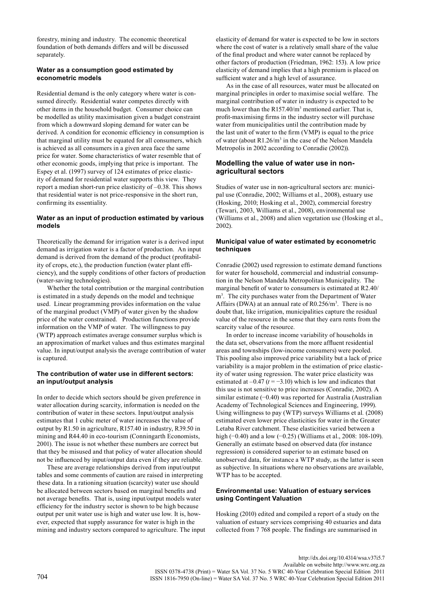forestry, mining and industry. The economic theoretical foundation of both demands differs and will be discussed separately.

## **Water as a consumption good estimated by econometric models**

Residential demand is the only category where water is consumed directly. Residential water competes directly with other items in the household budget. Consumer choice can be modelled as utility maximisation given a budget constraint from which a downward sloping demand for water can be derived. A condition for economic efficiency in consumption is that marginal utility must be equated for all consumers, which is achieved as all consumers in a given area face the same price for water. Some characteristics of water resemble that of other economic goods, implying that price is important. The Espey et al. (1997) survey of 124 estimates of price elasticity of demand for residential water supports this view. They report a median short-run price elasticity of –0.38. This shows that residential water is not price-responsive in the short run, confirming its essentiality.

## **Water as an input of production estimated by various models**

Theoretically the demand for irrigation water is a derived input demand as irrigation water is a factor of production. An input demand is derived from the demand of the product (profitability of crops, etc.), the production function (water plant efficiency), and the supply conditions of other factors of production (water-saving technologies).

Whether the total contribution or the marginal contribution is estimated in a study depends on the model and technique used. Linear programming provides information on the value of the marginal product (VMP) of water given by the shadow price of the water constrained. Production functions provide information on the VMP of water. The willingness to pay (WTP) approach estimates average consumer surplus which is an approximation of market values and thus estimates marginal value. In input/output analysis the average contribution of water is captured.

## **The contribution of water use in different sectors: an input/output analysis**

In order to decide which sectors should be given preference in water allocation during scarcity, information is needed on the contribution of water in these sectors. Input/output analysis estimates that 1 cubic meter of water increases the value of output by R1.50 in agriculture, R157.40 in industry, R39.50 in mining and R44.40 in eco-tourism (Conningarth Economists, 2001). The issue is not whether these numbers are correct but that they be misused and that policy of water allocation should not be influenced by input/output data even if they are reliable.

These are average relationships derived from input/output tables and some comments of caution are raised in interpreting these data. In a rationing situation (scarcity) water use should be allocated between sectors based on marginal benefits and not average benefits. That is, using input/output models water efficiency for the industry sector is shown to be high because output per unit water use is high and water use low. It is, however, expected that supply assurance for water is high in the mining and industry sectors compared to agriculture. The input elasticity of demand for water is expected to be low in sectors where the cost of water is a relatively small share of the value of the final product and where water cannot be replaced by other factors of production (Friedman, 1962: 153). A low price elasticity of demand implies that a high premium is placed on sufficient water and a high level of assurance.

As in the case of all resources, water must be allocated on marginal principles in order to maximise social welfare. The marginal contribution of water in industry is expected to be much lower than the R157.40/m<sup>3</sup> mentioned earlier. That is, profit-maximising firms in the industry sector will purchase water from municipalities until the contribution made by the last unit of water to the firm (VMP) is equal to the price of water (about R1.26/m<sup>3</sup> in the case of the Nelson Mandela Metropolis in 2002 according to Conradie (2002)).

## **Modelling the value of water use in nonagricultural sectors**

Studies of water use in non-agricultural sectors are: municipal use (Conradie, 2002; Williams et al., 2008), estuary use (Hosking, 2010; Hosking et al., 2002), commercial forestry (Tewari, 2003, Williams et al., 2008), environmental use (Williams et al., 2008) and alien vegetation use (Hosking et al., 2002).

## **Municipal value of water estimated by econometric techniques**

Conradie (2002) used regression to estimate demand functions for water for household, commercial and industrial consumption in the Nelson Mandela Metropolitan Municipality. The marginal benefit of water to consumers is estimated at R2.40/ m3 . The city purchases water from the Department of Water Affairs (DWA) at an annual rate of  $R0.256/m<sup>3</sup>$ . There is no doubt that, like irrigation, municipalities capture the residual value of the resource in the sense that they earn rents from the scarcity value of the resource.

In order to increase income variability of households in the data set, observations from the more affluent residential areas and townships (low-income consumers) were pooled. This pooling also improved price variability but a lack of price variability is a major problem in the estimation of price elasticity of water using regression. The water price elasticity was estimated at  $-0.47$  ( $t = -3.10$ ) which is low and indicates that this use is not sensitive to price increases (Conradie, 2002). A similar estimate (−0.40) was reported for Australia (Australian Academy of Technological Sciences and Engineering, 1999). Using willingness to pay (WTP) surveys Williams et al*.* (2008) estimated even lower price elasticities for water in the Greater Letaba River catchment. These elasticities varied between a high (−0.40) and a low (−0.25) (Williams et al., 2008: 108-109). Generally an estimate based on observed data (for instance regression) is considered superior to an estimate based on unobserved data, for instance a WTP study, as the latter is seen as subjective. In situations where no observations are available, WTP has to be accepted.

## **Environmental use: Valuation of estuary services using Contingent Valuation**

Hosking (2010) edited and compiled a report of a study on the valuation of estuary services comprising 40 estuaries and data collected from 7 768 people. The findings are summarised in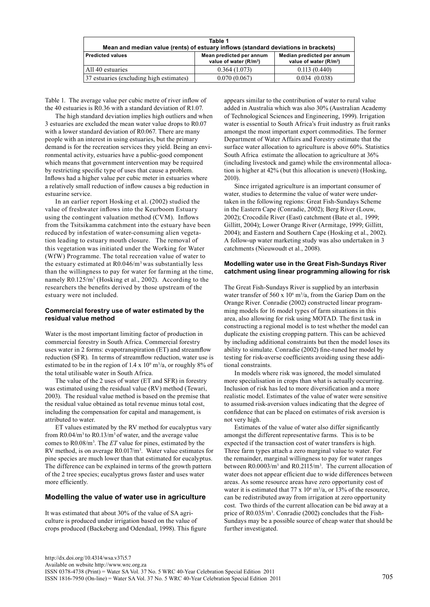| Table 1<br>Mean and median value (rents) of estuary inflows (standard deviations in brackets) |                                                                |                                                                  |  |  |
|-----------------------------------------------------------------------------------------------|----------------------------------------------------------------|------------------------------------------------------------------|--|--|
| <b>Predicted values</b>                                                                       | Mean predicted per annum<br>value of water (R/m <sup>3</sup> ) | Median predicted per annum<br>value of water (R/m <sup>3</sup> ) |  |  |
| All 40 estuaries                                                                              | 0.364(1.073)                                                   | 0.113(0.440)                                                     |  |  |
| 37 estuaries (excluding high estimates)                                                       | 0.070(0.067)                                                   | 0.034(0.038)                                                     |  |  |

Table 1. The average value per cubic metre of river inflow of the 40 estuaries is R0.36 with a standard deviation of R1.07.

The high standard deviation implies high outliers and when 3 estuaries are excluded the mean water value drops to R0.07 with a lower standard deviation of R0.067. There are many people with an interest in using estuaries, but the primary demand is for the recreation services they yield. Being an environmental activity, estuaries have a public-good component which means that government intervention may be required by restricting specific type of uses that cause a problem. Inflows had a higher value per cubic meter in estuaries where a relatively small reduction of inflow causes a big reduction in estuarine service.

In an earlier report Hosking et al. (2002) studied the value of freshwater inflows into the Keurboom Estuary using the contingent valuation method (CVM). Inflows from the Tsitsikamma catchment into the estuary have been reduced by infestation of water-consuming alien vegetation leading to estuary mouth closure. The removal of this vegetation was initiated under the Working for Water (WfW) Programme. The total recreation value of water to the estuary estimated at R0.046/m3 was substantially less than the willingness to pay for water for farming at the time, namely R0.125/m<sup>3</sup> (Hosking et al., 2002). According to the researchers the benefits derived by those upstream of the estuary were not included.

#### **Commercial forestry use of water estimated by the residual value method**

Water is the most important limiting factor of production in commercial forestry in South Africa. Commercial forestry uses water in 2 forms: evapotranspiration (ET) and streamflow reduction (SFR). In terms of streamflow reduction, water use is estimated to be in the region of  $1.4 \times 10^9$  m<sup>3</sup>/a, or roughly 8% of the total utilisable water in South Africa.

The value of the 2 uses of water (ET and SFR) in forestry was estimated using the residual value (RV) method (Tewari, 2003). The residual value method is based on the premise that the residual value obtained as total revenue minus total cost, including the compensation for capital and management, is attributed to water.

ET values estimated by the RV method for eucalyptus vary from  $R0.04/m^3$  to  $R0.13/m^3$  of water, and the average value comes to R0.08/m3 . The *ET* value for pines, estimated by the RV method, is on average R0.017/m<sup>3</sup>. Water value estimates for pine species are much lower than that estimated for eucalyptus. The difference can be explained in terms of the growth pattern of the 2 tree species; eucalyptus grows faster and uses water more efficiently.

## **Modelling the value of water use in agriculture**

It was estimated that about 30% of the value of SA agriculture is produced under irrigation based on the value of crops produced (Backeberg and Odendaal, 1998). This figure appears similar to the contribution of water to rural value added in Australia which was also 30% (Australian Academy of Technological Sciences and Engineering, 1999). Irrigation water is essential to South Africa's fruit industry as fruit ranks amongst the most important export commodities. The former Department of Water Affairs and Forestry estimate that the surface water allocation to agriculture is above 60%. Statistics South Africa estimate the allocation to agriculture at 36% (including livestock and game) while the environmental allocation is higher at 42% (but this allocation is uneven) (Hosking, 2010).

Since irrigated agriculture is an important consumer of water, studies to determine the value of water were undertaken in the following regions: Great Fish-Sundays Scheme in the Eastern Cape (Conradie, 2002); Berg River (Louw, 2002); Crocodile River (East) catchment (Bate et al.*,* 1999; Gillitt, 2004); Lower Orange River (Armitage, 1999; Gillitt, 2004); and Eastern and Southern Cape (Hosking et al., 2002). A follow-up water marketing study was also undertaken in 3 catchments (Nieuwoudt et al., 2008).

## **Modelling water use in the Great Fish-Sundays River catchment using linear programming allowing for risk**

The Great Fish-Sundays River is supplied by an interbasin water transfer of 560 x  $10^6$  m<sup>3</sup>/a, from the Gariep Dam on the Orange River. Conradie (2002) constructed linear programming models for 16 model types of farm situations in this area, also allowing for risk using MOTAD. The first task in constructing a regional model is to test whether the model can duplicate the existing cropping pattern. This can be achieved by including additional constraints but then the model loses its ability to simulate. Conradie (2002) fine-tuned her model by testing for risk-averse coefficients avoiding using these additional constraints.

In models where risk was ignored, the model simulated more specialisation in crops than what is actually occurring. Inclusion of risk has led to more diversification and a more realistic model. Estimates of the value of water were sensitive to assumed risk-aversion values indicating that the degree of confidence that can be placed on estimates of risk aversion is not very high.

Estimates of the value of water also differ significantly amongst the different representative farms. This is to be expected if the transaction cost of water transfers is high. Three farm types attach a zero marginal value to water. For the remainder, marginal willingness to pay for water ranges between R0.0003/m<sup>3</sup> and R0.2115/m<sup>3</sup>. The current allocation of water does not appear efficient due to wide differences between areas. As some resource areas have zero opportunity cost of water it is estimated that 77 x  $10^6$  m<sup>3</sup>/a, or 13% of the resource, can be redistributed away from irrigation at zero opportunity cost. Two thirds of the current allocation can be bid away at a price of R0.035/m<sup>3</sup>. Conradie (2002) concludes that the Fish-Sundays may be a possible source of cheap water that should be further investigated.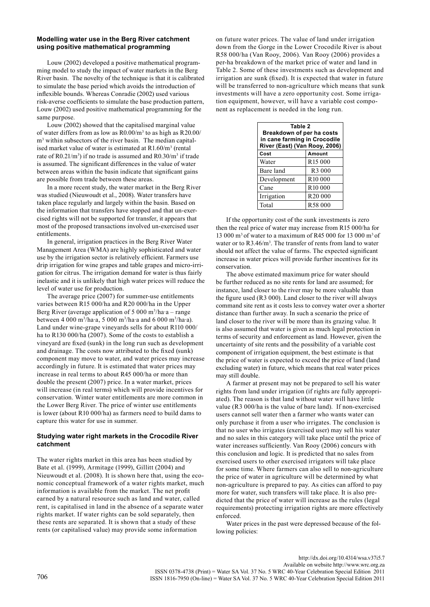#### **Modelling water use in the Berg River catchment using positive mathematical programming**

Louw (2002) developed a positive mathematical programming model to study the impact of water markets in the Berg River basin. The novelty of the technique is that it is calibrated to simulate the base period which avoids the introduction of inflexible bounds. Whereas Conradie (2002) used various risk-averse coefficients to simulate the base production pattern, Louw (2002) used positive mathematical programming for the same purpose.

Louw (2002) showed that the capitalised marginal value of water differs from as low as  $R0.00/m<sup>3</sup>$  to as high as  $R20.00/m<sup>3</sup>$ m<sup>3</sup> within subsectors of the river basin. The median capitalised market value of water is estimated at  $R1.60/m<sup>3</sup>$  (rental rate of  $R0.21/m^3$ ) if no trade is assumed and  $R0.30/m^3$  if trade is assumed. The significant differences in the value of water between areas within the basin indicate that significant gains are possible from trade between these areas.

In a more recent study, the water market in the Berg River was studied (Nieuwoudt et al., 2008). Water transfers have taken place regularly and largely within the basin. Based on the information that transfers have stopped and that un-exercised rights will not be supported for transfer, it appears that most of the proposed transactions involved un-exercised user entitlements.

In general, irrigation practices in the Berg River Water Management Area (WMA) are highly sophisticated and water use by the irrigation sector is relatively efficient. Farmers use drip irrigation for wine grapes and table grapes and micro-irrigation for citrus. The irrigation demand for water is thus fairly inelastic and it is unlikely that high water prices will reduce the level of water use for production.

The average price (2007) for summer-use entitlements varies between R15 000/ha and R20 000/ha in the Upper Berg River (average application of 5 000 m<sup>3</sup>/ha a – range between 4 000 m3 /ha·a, 5 000 m3 /ha·a and 6 000 m3 /ha·a). Land under wine-grape vineyards sells for about R110 000/ ha to R130 000/ha (2007). Some of the costs to establish a vineyard are fixed (sunk) in the long run such as development and drainage. The costs now attributed to the fixed (sunk) component may move to water, and water prices may increase accordingly in future. It is estimated that water prices may increase in real terms to about R45 000/ha or more than double the present (2007) price. In a water market, prices will increase (in real terms) which will provide incentives for conservation. Winter water entitlements are more common in the Lower Berg River. The price of winter use entitlements is lower (about R10 000/ha) as farmers need to build dams to capture this water for use in summer.

#### **Studying water right markets in the Crocodile River catchment**

The water rights market in this area has been studied by Bate et al. (1999), Armitage (1999), Gillitt (2004) and Nieuwoudt et al. (2008). It is shown here that, using the economic conceptual framework of a water rights market, much information is available from the market. The net profit earned by a natural resource such as land and water, called rent, is capitalised in land in the absence of a separate water rights market. If water rights can be sold separately, then these rents are separated. It is shown that a study of these rents (or capitalised value) may provide some information

on future water prices. The value of land under irrigation down from the Gorge in the Lower Crocodile River is about R58 000/ha (Van Rooy, 2006). Van Rooy (2006) provides a per-ha breakdown of the market price of water and land in Table 2. Some of these investments such as development and irrigation are sunk (fixed). It is expected that water in future will be transferred to non-agriculture which means that sunk investments will have a zero opportunity cost. Some irrigation equipment, however, will have a variable cost component as replacement is needed in the long run.

| Table 2<br>Breakdown of per ha costs<br>in cane farming in Crocodile<br>River (East) (Van Rooy, 2006) |                     |  |  |
|-------------------------------------------------------------------------------------------------------|---------------------|--|--|
| Cost                                                                                                  | Amount              |  |  |
| Water                                                                                                 | R <sub>15</sub> 000 |  |  |
| Bare land                                                                                             | R <sub>3</sub> 000  |  |  |
| Development                                                                                           | R <sub>10</sub> 000 |  |  |
| Cane                                                                                                  | R <sub>10</sub> 000 |  |  |
| Irrigation                                                                                            | R <sub>20</sub> 000 |  |  |
| Total                                                                                                 | R58 000             |  |  |

If the opportunity cost of the sunk investments is zero then the real price of water may increase from R15 000/ha for 13 000 m<sup>3</sup> of water to a maximum of R45 000 for 13 000 m<sup>3</sup> of water or to R3.46/m<sup>3</sup>. The transfer of rents from land to water should not affect the value of farms. The expected significant increase in water prices will provide further incentives for its conservation.

The above estimated maximum price for water should be further reduced as no site rents for land are assumed; for instance, land closer to the river may be more valuable than the figure used (R3 000). Land closer to the river will always command site rent as it costs less to convey water over a shorter distance than further away. In such a scenario the price of land closer to the river will be more than its grazing value. It is also assumed that water is given as much legal protection in terms of security and enforcement as land. However, given the uncertainty of site rents and the possibility of a variable cost component of irrigation equipment, the best estimate is that the price of water is expected to exceed the price of land (land excluding water) in future, which means that real water prices may still double.

A farmer at present may not be prepared to sell his water rights from land under irrigation (if rights are fully appropriated). The reason is that land without water will have little value (R3 000/ha is the value of bare land). If non-exercised users cannot sell water then a farmer who wants water can only purchase it from a user who irrigates. The conclusion is that no user who irrigates (exercised user) may sell his water and no sales in this category will take place until the price of water increases sufficiently. Van Rooy (2006) concurs with this conclusion and logic. It is predicted that no sales from exercised users to other exercised irrigators will take place for some time. Where farmers can also sell to non-agriculture the price of water in agriculture will be determined by what non-agriculture is prepared to pay. As cities can afford to pay more for water, such transfers will take place. It is also predicted that the price of water will increase as the rules (legal requirements) protecting irrigation rights are more effectively enforced.

Water prices in the past were depressed because of the following policies: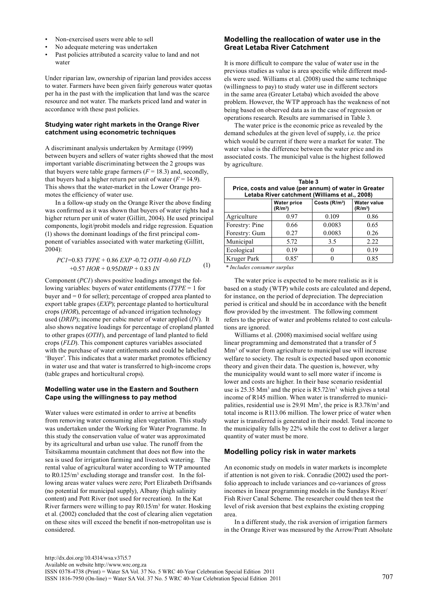- Non-exercised users were able to sell
- No adequate metering was undertaken
- Past policies attributed a scarcity value to land and not water

Under riparian law, ownership of riparian land provides access to water. Farmers have been given fairly generous water quotas per ha in the past with the implication that land was the scarce resource and not water. The markets priced land and water in accordance with these past policies.

## **Studying water right markets in the Orange River catchment using econometric techniques**

A discriminant analysis undertaken by Armitage (1999) between buyers and sellers of water rights showed that the most important variable discriminating between the 2 groups was that buyers were table grape farmers  $(F = 18.3)$  and, secondly, that buyers had a higher return per unit of water  $(F = 14.9)$ . This shows that the water-market in the Lower Orange promotes the efficiency of water use.

In a follow-up study on the Orange River the above finding was confirmed as it was shown that buyers of water rights had a higher return per unit of water (Gillitt, 2004). He used principal components, logit/probit models and ridge regression. Equation (1) shows the dominant loadings of the first principal component of variables associated with water marketing (Gillitt, 2004):

$$
PCI=0.83\;TYPE+0.86\;EXP-0.72\;OTH-0.60\; FLD +0.57\;HOR+0.95DRIP+0.83\;IN
$$
\n
$$
(1) \qquad \begin{array}{c} \text{Kruger Park} \\ \text{*} \text{Includes consumer surplus} \end{array}
$$

Component (*PC1*) shows positive loadings amongst the following variables: buyers of water entitlements (*TYPE* = 1 for buyer and = 0 for seller); percentage of cropped area planted to export table grapes (*EXP*); percentage planted to horticultural crops (*HOR*), percentage of advanced irrigation technology used (*DRIP*); income per cubic meter of water applied (*IN*). It also shows negative loadings for percentage of cropland planted to other grapes (*OTH*), and percentage of land planted to field crops (*FLD*). This component captures variables associated with the purchase of water entitlements and could be labelled 'Buyer'. This indicates that a water market promotes efficiency in water use and that water is transferred to high-income crops (table grapes and horticultural crops).

#### **Modelling water use in the Eastern and Southern Cape using the willingness to pay method**

Water values were estimated in order to arrive at benefits from removing water consuming alien vegetation. This study was undertaken under the Working for Water Programme. In this study the conservation value of water was approximated by its agricultural and urban use value. The runoff from the Tsitsikamma mountain catchment that does not flow into the sea is used for irrigation farming and livestock watering. The rental value of agricultural water according to WTP amounted to R0.125/m<sup>3</sup> excluding storage and transfer cost. In the following areas water values were zero; Port Elizabeth Driftsands (no potential for municipal supply), Albany (high salinity content) and Pott River (not used for recreation). In the Kat River farmers were willing to pay  $R0.15/m<sup>3</sup>$  for water. Hosking et al. (2002) concluded that the cost of clearing alien vegetation on these sites will exceed the benefit if non-metropolitan use is considered.

## **Modelling the reallocation of water use in the Great Letaba River Catchment**

It is more difficult to compare the value of water use in the previous studies as value is area specific while different models were used. Williams et al. (2008) used the same technique (willingness to pay) to study water use in different sectors in the same area (Greater Letaba) which avoided the above problem. However, the WTP approach has the weakness of not being based on observed data as in the case of regression or operations research. Results are summarised in Table 3.

The water price is the economic price as revealed by the demand schedules at the given level of supply, i.e. the price which would be current if there were a market for water. The water value is the difference between the water price and its associated costs. The municipal value is the highest followed by agriculture.

| Table 3<br>Price, costs and value (per annum) of water in Greater<br>Letaba River catchment (Williams et al., 2008) |                                           |                |                                           |  |  |
|---------------------------------------------------------------------------------------------------------------------|-------------------------------------------|----------------|-------------------------------------------|--|--|
|                                                                                                                     | <b>Water price</b><br>(R/m <sup>3</sup> ) | Costs $(R/m3)$ | <b>Water value</b><br>(R/m <sup>3</sup> ) |  |  |
| Agriculture                                                                                                         | 0.97                                      | 0.109          | 0.86                                      |  |  |
| Forestry: Pine                                                                                                      | 0.66                                      | 0.0083         | 0.65                                      |  |  |
| Forestry: Gum                                                                                                       | 0.27                                      | 0.0083         | 0.26                                      |  |  |
| Municipal                                                                                                           | 5.72                                      | 3.5            | 2.22                                      |  |  |
| Ecological                                                                                                          | 0.19                                      |                | 0.19                                      |  |  |
| Kruger Park                                                                                                         | $0.85*$                                   |                | 0.85                                      |  |  |

 *\* Includes consumer surplus*

The water price is expected to be more realistic as it is based on a study (WTP) while costs are calculated and depend, for instance, on the period of depreciation. The depreciation period is critical and should be in accordance with the benefit flow provided by the investment. The following comment refers to the price of water and problems related to cost calculations are ignored.

Williams et al. (2008) maximised social welfare using linear programming and demonstrated that a transfer of 5 Mm<sup>3</sup> of water from agriculture to municipal use will increase welfare to society. The result is expected based upon economic theory and given their data. The question is, however, why the municipality would want to sell more water if income is lower and costs are higher. In their base scenario residential use is 25.35 Mm<sup>3</sup> and the price is  $R5.72/m^3$  which gives a total income of R145 million. When water is transferred to municipalities, residential use is 29.91  $\text{Mm}^3$ , the price is R3.78/m<sup>3</sup> and total income is R113.06 million. The lower price of water when water is transferred is generated in their model. Total income to the municipality falls by 22% while the cost to deliver a larger quantity of water must be more.

# **Modelling policy risk in water markets**

An economic study on models in water markets is incomplete if attention is not given to risk. Conradie (2002) used the portfolio approach to include variances and co-variances of gross incomes in linear programming models in the Sundays River/ Fish River Canal Scheme. The researcher could then test the level of risk aversion that best explains the existing cropping area.

In a different study, the risk aversion of irrigation farmers in the Orange River was measured by the Arrow/Pratt Absolute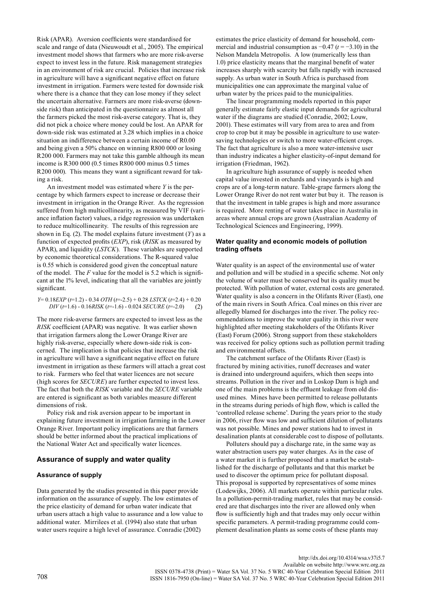Risk (APAR). Aversion coefficients were standardised for scale and range of data (Nieuwoudt et al., 2005). The empirical investment model shows that farmers who are more risk-averse expect to invest less in the future. Risk management strategies in an environment of risk are crucial. Policies that increase risk in agriculture will have a significant negative effect on future investment in irrigation. Farmers were tested for downside risk where there is a chance that they can lose money if they select the uncertain alternative. Farmers are more risk-averse (downside risk) than anticipated in the questionnaire as almost all the farmers picked the most risk-averse category. That is, they did not pick a choice where money could be lost. An APAR for down-side risk was estimated at 3.28 which implies in a choice situation an indifference between a certain income of R0.00 and being given a 50% chance on winning R800 000 or losing R200 000. Farmers may not take this gamble although its mean income is R300 000 (0.5 times R800 000 minus 0.5 times R200 000). This means they want a significant reward for taking a risk.

An investment model was estimated where *Y* is the percentage by which farmers expect to increase or decrease their investment in irrigation in the Orange River. As the regression suffered from high multicollinearity, as measured by VIF (variance inflation factor) values, a ridge regression was undertaken to reduce multicollinearity. The results of this regression are shown in Eq. (2). The model explains future investment (*Y*) as a function of expected profits (*EXP*), risk (*RISK* as measured by APAR), and liquidity (*LSTCK*). These variables are supported by economic theoretical considerations. The R-squared value is 0.55 which is considered good given the conceptual nature of the model. The *F* value for the model is 5.2 which is significant at the 1% level, indicating that all the variables are jointly significant.

$$
Y=0.18EXP (t=1.2) -0.34\;OTH (t=-2.5) +0.28\;LSTCK (t=2.4) +0.20\\ DIV (t=1.6) -0.16RISK (t=-1.6) -0.024\;SECURE (t=-2.0)
$$
 (2)

The more risk-averse farmers are expected to invest less as the *RISK* coefficient (APAR) was negative. It was earlier shown that irrigation farmers along the Lower Orange River are highly risk-averse, especially where down-side risk is concerned. The implication is that policies that increase the risk in agriculture will have a significant negative effect on future investment in irrigation as these farmers will attach a great cost to risk. Farmers who feel that water licences are not secure (high scores for *SECURE*) are further expected to invest less. The fact that both the *RISK* variable and the *SECURE* variable are entered is significant as both variables measure different dimensions of risk.

Policy risk and risk aversion appear to be important in explaining future investment in irrigation farming in the Lower Orange River. Important policy implications are that farmers should be better informed about the practical implications of the National Water Act and specifically water licences.

#### **Assurance of supply and water quality**

#### **Assurance of supply**

Data generated by the studies presented in this paper provide information on the assurance of supply. The low estimates of the price elasticity of demand for urban water indicate that urban users attach a high value to assurance and a low value to additional water. Mirrilees et al. (1994) also state that urban water users require a high level of assurance. Conradie (2002)

estimates the price elasticity of demand for household, commercial and industrial consumption as −0.47 (*t* = −3.10) in the Nelson Mandela Metropolis. A low (numerically less than 1.0) price elasticity means that the marginal benefit of water increases sharply with scarcity but falls rapidly with increased supply. As urban water in South Africa is purchased from municipalities one can approximate the marginal value of urban water by the prices paid to the municipalities.

The linear programming models reported in this paper generally estimate fairly elastic input demands for agricultural water if the diagrams are studied (Conradie, 2002; Louw, 2001). These estimates will vary from area to area and from crop to crop but it may be possible in agriculture to use watersaving technologies or switch to more water-efficient crops. The fact that agriculture is also a more water-intensive user than industry indicates a higher elasticity-of-input demand for irrigation (Friedman, 1962).

In agriculture high assurance of supply is needed when capital value invested in orchards and vineyards is high and crops are of a long-term nature. Table-grape farmers along the Lower Orange River do not rent water but buy it. The reason is that the investment in table grapes is high and more assurance is required. More renting of water takes place in Australia in areas where annual crops are grown (Australian Academy of Technological Sciences and Engineering, 1999).

#### **Water quality and economic models of pollution trading offsets**

Water quality is an aspect of the environmental use of water and pollution and will be studied in a specific scheme. Not only the volume of water must be conserved but its quality must be protected. With pollution of water, external costs are generated. Water quality is also a concern in the Olifants River (East), one of the main rivers in South Africa. Coal mines on this river are allegedly blamed for discharges into the river. The policy recommendations to improve the water quality in this river were highlighted after meeting stakeholders of the Olifants River (East) Forum (2006). Strong support from these stakeholders was received for policy options such as pollution permit trading and environmental offsets.

The catchment surface of the Olifants River (East) is fractured by mining activities, runoff decreases and water is drained into underground aquifers, which then seeps into streams. Pollution in the river and in Loskop Dam is high and one of the main problems is the effluent leakage from old disused mines. Mines have been permitted to release pollutants in the streams during periods of high flow, which is called the 'controlled release scheme'. During the years prior to the study in 2006, river flow was low and sufficient dilution of pollutants was not possible. Mines and power stations had to invest in desalination plants at considerable cost to dispose of pollutants.

Polluters should pay a discharge rate, in the same way as water abstraction users pay water charges. As in the case of a water market it is further proposed that a market be established for the discharge of pollutants and that this market be used to discover the optimum price for pollutant disposal. This proposal is supported by representatives of some mines (Lodewijks, 2006). All markets operate within particular rules. In a pollution-permit-trading market, rules that may be considered are that discharges into the river are allowed only when flow is sufficiently high and that trades may only occur within specific parameters. A permit-trading programme could complement desalination plants as some costs of these plants may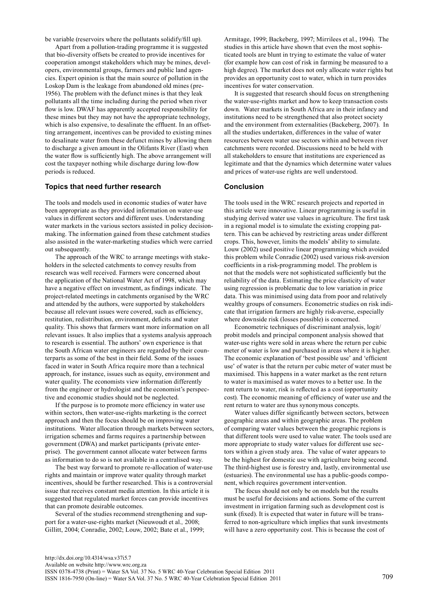be variable (reservoirs where the pollutants solidify/fill up).

Apart from a pollution-trading programme it is suggested that bio-diversity offsets be created to provide incentives for cooperation amongst stakeholders which may be mines, developers, environmental groups, farmers and public land agencies. Expert opinion is that the main source of pollution in the Loskop Dam is the leakage from abandoned old mines (pre-1956). The problem with the defunct mines is that they leak pollutants all the time including during the period when river flow is low. DWAF has apparently accepted responsibility for these mines but they may not have the appropriate technology, which is also expensive, to desalinate the effluent. In an offsetting arrangement, incentives can be provided to existing mines to desalinate water from these defunct mines by allowing them to discharge a given amount in the Olifants River (East) when the water flow is sufficiently high. The above arrangement will cost the taxpayer nothing while discharge during low-flow periods is reduced.

## **Topics that need further research**

The tools and models used in economic studies of water have been appropriate as they provided information on water-use values in different sectors and different uses. Understanding water markets in the various sectors assisted in policy decisionmaking. The information gained from these catchment studies also assisted in the water-marketing studies which were carried out subsequently.

The approach of the WRC to arrange meetings with stakeholders in the selected catchments to convey results from research was well received. Farmers were concerned about the application of the National Water Act of 1998, which may have a negative effect on investment, as findings indicate. The project-related meetings in catchments organised by the WRC and attended by the authors, were supported by stakeholders because all relevant issues were covered, such as efficiency, restitution, redistribution, environment, deficits and water quality. This shows that farmers want more information on all relevant issues. It also implies that a systems analysis approach to research is essential. The authors' own experience is that the South African water engineers are regarded by their counterparts as some of the best in their field. Some of the issues faced in water in South Africa require more than a technical approach, for instance, issues such as equity, environment and water quality. The economists view information differently from the engineer or hydrologist and the economist's perspective and economic studies should not be neglected.

If the purpose is to promote more efficiency in water use within sectors, then water-use-rights marketing is the correct approach and then the focus should be on improving water institutions. Water allocation through markets between sectors, irrigation schemes and farms requires a partnership between government (DWA) and market participants (private enterprise). The government cannot allocate water between farms as information to do so is not available in a centralised way.

The best way forward to promote re-allocation of water-use rights and maintain or improve water quality through market incentives, should be further researched. This is a controversial issue that receives constant media attention. In this article it is suggested that regulated market forces can provide incentives that can promote desirable outcomes.

Several of the studies recommend strengthening and support for a water-use-rights market (Nieuwoudt et al.*,* 2008; Gillitt, 2004; Conradie, 2002; Louw, 2002; Bate et al., 1999;

Armitage, 1999; Backeberg, 1997; Mirrilees et al., 1994). The studies in this article have shown that even the most sophisticated tools are blunt in trying to estimate the value of water (for example how can cost of risk in farming be measured to a high degree). The market does not only allocate water rights but provides an opportunity cost to water, which in turn provides incentives for water conservation.

It is suggested that research should focus on strengthening the water-use-rights market and how to keep transaction costs down. Water markets in South Africa are in their infancy and institutions need to be strengthened that also protect society and the environment from externalities (Backeberg, 2007). In all the studies undertaken, differences in the value of water resources between water use sectors within and between river catchments were recorded. Discussions need to be held with all stakeholders to ensure that institutions are experienced as legitimate and that the dynamics which determine water values and prices of water-use rights are well understood.

#### **Conclusion**

The tools used in the WRC research projects and reported in this article were innovative. Linear programming is useful in studying derived water use values in agriculture. The first task in a regional model is to simulate the existing cropping pattern. This can be achieved by restricting areas under different crops. This, however, limits the models' ability to simulate. Louw (2002) used positive linear programming which avoided this problem while Conradie (2002) used various risk-aversion coefficients in a risk-programming model. The problem is not that the models were not sophisticated sufficiently but the reliability of the data. Estimating the price elasticity of water using regression is problematic due to low variation in price data. This was minimised using data from poor and relatively wealthy groups of consumers. Econometric studies on risk indicate that irrigation farmers are highly risk-averse, especially where downside risk (losses possible) is concerned.

Econometric techniques of discriminant analysis, logit/ probit models and principal component analysis showed that water-use rights were sold in areas where the return per cubic meter of water is low and purchased in areas where it is higher. The economic explanation of 'best possible use' and 'efficient use' of water is that the return per cubic meter of water must be maximised. This happens in a water market as the rent return to water is maximised as water moves to a better use. In the rent return to water, risk is reflected as a cost (opportunity cost). The economic meaning of efficiency of water use and the rent return to water are thus synonymous concepts.

Water values differ significantly between sectors, between geographic areas and within geographic areas. The problem of comparing water values between the geographic regions is that different tools were used to value water. The tools used are more appropriate to study water values for different use sectors within a given study area. The value of water appears to be the highest for domestic use with agriculture being second. The third-highest use is forestry and, lastly, environmental use (estuaries). The environmental use has a public-goods component, which requires government intervention.

The focus should not only be on models but the results must be useful for decisions and actions. Some of the current investment in irrigation farming such as development cost is sunk (fixed). It is expected that water in future will be transferred to non-agriculture which implies that sunk investments will have a zero opportunity cost. This is because the cost of